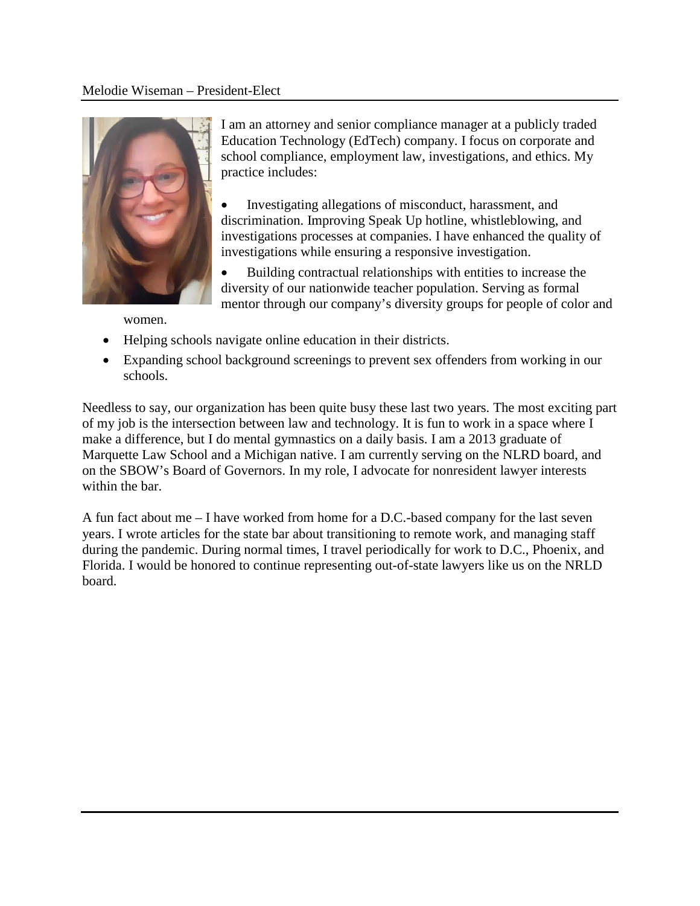### Melodie Wiseman – President-Elect



I am an attorney and senior compliance manager at a publicly traded Education Technology (EdTech) company. I focus on corporate and school compliance, employment law, investigations, and ethics. My practice includes:

• Investigating allegations of misconduct, harassment, and discrimination. Improving Speak Up hotline, whistleblowing, and investigations processes at companies. I have enhanced the quality of investigations while ensuring a responsive investigation.

• Building contractual relationships with entities to increase the diversity of our nationwide teacher population. Serving as formal mentor through our company's diversity groups for people of color and

women.

- Helping schools navigate online education in their districts.
- Expanding school background screenings to prevent sex offenders from working in our schools.

Needless to say, our organization has been quite busy these last two years. The most exciting part of my job is the intersection between law and technology. It is fun to work in a space where I make a difference, but I do mental gymnastics on a daily basis. I am a 2013 graduate of Marquette Law School and a Michigan native. I am currently serving on the NLRD board, and on the SBOW's Board of Governors. In my role, I advocate for nonresident lawyer interests within the bar.

A fun fact about me – I have worked from home for a D.C.-based company for the last seven years. I wrote articles for the state bar about transitioning to remote work, and managing staff during the pandemic. During normal times, I travel periodically for work to D.C., Phoenix, and Florida. I would be honored to continue representing out-of-state lawyers like us on the NRLD board.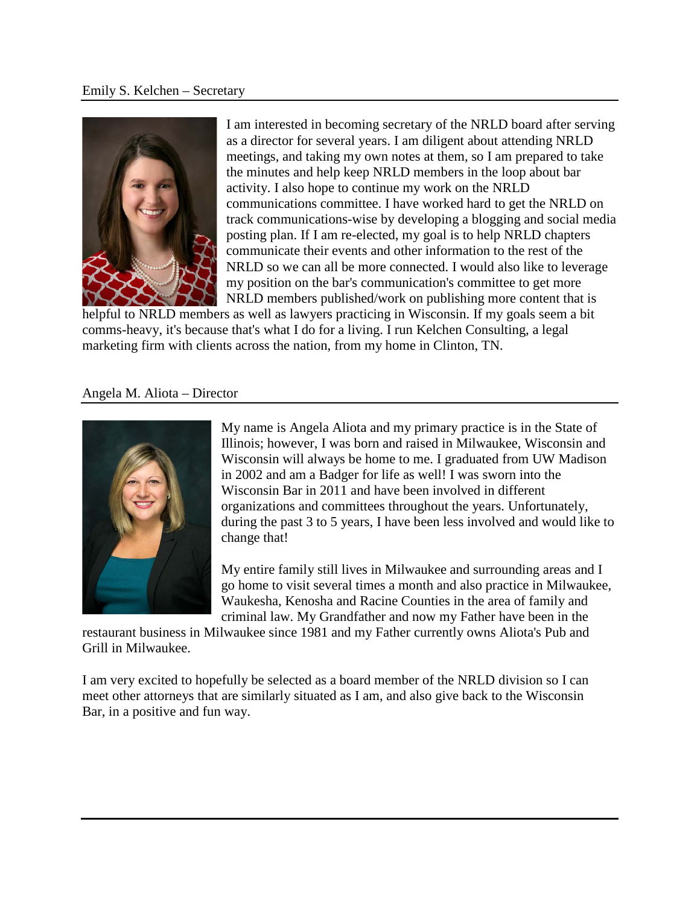#### Emily S. Kelchen – Secretary



I am interested in becoming secretary of the NRLD board after serving as a director for several years. I am diligent about attending NRLD meetings, and taking my own notes at them, so I am prepared to take the minutes and help keep NRLD members in the loop about bar activity. I also hope to continue my work on the NRLD communications committee. I have worked hard to get the NRLD on track communications-wise by developing a blogging and social media posting plan. If I am re-elected, my goal is to help NRLD chapters communicate their events and other information to the rest of the NRLD so we can all be more connected. I would also like to leverage my position on the bar's communication's committee to get more NRLD members published/work on publishing more content that is

helpful to NRLD members as well as lawyers practicing in Wisconsin. If my goals seem a bit comms-heavy, it's because that's what I do for a living. I run Kelchen Consulting, a legal marketing firm with clients across the nation, from my home in Clinton, TN.

### Angela M. Aliota – Director



My name is Angela Aliota and my primary practice is in the State of Illinois; however, I was born and raised in Milwaukee, Wisconsin and Wisconsin will always be home to me. I graduated from UW Madison in 2002 and am a Badger for life as well! I was sworn into the Wisconsin Bar in 2011 and have been involved in different organizations and committees throughout the years. Unfortunately, during the past 3 to 5 years, I have been less involved and would like to change that!

My entire family still lives in Milwaukee and surrounding areas and I go home to visit several times a month and also practice in Milwaukee, Waukesha, Kenosha and Racine Counties in the area of family and criminal law. My Grandfather and now my Father have been in the

restaurant business in Milwaukee since 1981 and my Father currently owns Aliota's Pub and Grill in Milwaukee.

I am very excited to hopefully be selected as a board member of the NRLD division so I can meet other attorneys that are similarly situated as I am, and also give back to the Wisconsin Bar, in a positive and fun way.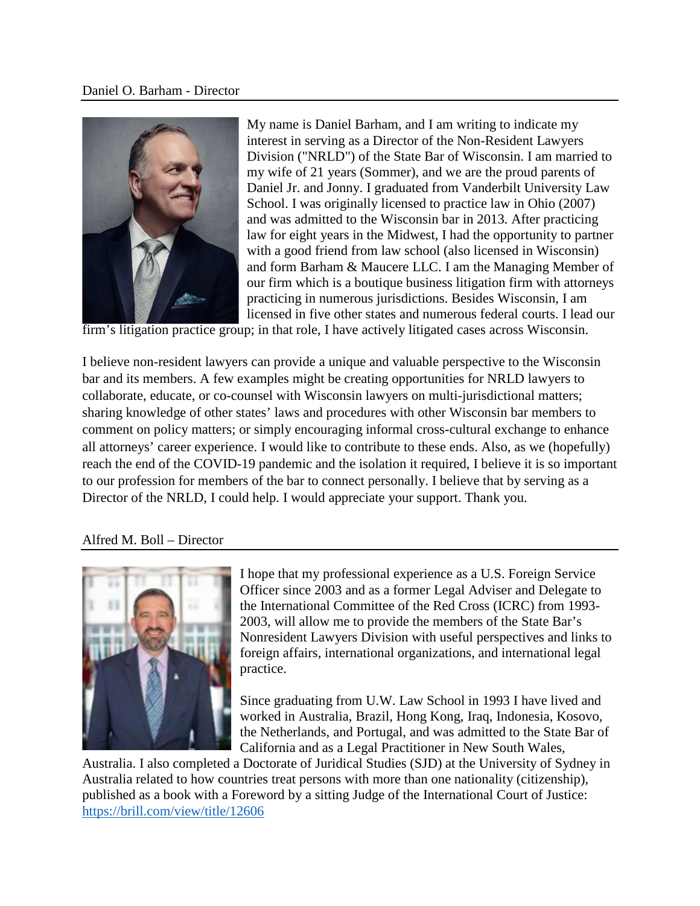

My name is Daniel Barham, and I am writing to indicate my interest in serving as a Director of the Non-Resident Lawyers Division ("NRLD") of the State Bar of Wisconsin. I am married to my wife of 21 years (Sommer), and we are the proud parents of Daniel Jr. and Jonny. I graduated from Vanderbilt University Law School. I was originally licensed to practice law in Ohio (2007) and was admitted to the Wisconsin bar in 2013. After practicing law for eight years in the Midwest, I had the opportunity to partner with a good friend from law school (also licensed in Wisconsin) and form Barham & Maucere LLC. I am the Managing Member of our firm which is a boutique business litigation firm with attorneys practicing in numerous jurisdictions. Besides Wisconsin, I am licensed in five other states and numerous federal courts. I lead our

firm's litigation practice group; in that role, I have actively litigated cases across Wisconsin.

I believe non-resident lawyers can provide a unique and valuable perspective to the Wisconsin bar and its members. A few examples might be creating opportunities for NRLD lawyers to collaborate, educate, or co-counsel with Wisconsin lawyers on multi-jurisdictional matters; sharing knowledge of other states' laws and procedures with other Wisconsin bar members to comment on policy matters; or simply encouraging informal cross-cultural exchange to enhance all attorneys' career experience. I would like to contribute to these ends. Also, as we (hopefully) reach the end of the COVID-19 pandemic and the isolation it required, I believe it is so important to our profession for members of the bar to connect personally. I believe that by serving as a Director of the NRLD, I could help. I would appreciate your support. Thank you.

### Alfred M. Boll – Director



I hope that my professional experience as a U.S. Foreign Service Officer since 2003 and as a former Legal Adviser and Delegate to the International Committee of the Red Cross (ICRC) from 1993- 2003, will allow me to provide the members of the State Bar's Nonresident Lawyers Division with useful perspectives and links to foreign affairs, international organizations, and international legal practice.

Since graduating from U.W. Law School in 1993 I have lived and worked in Australia, Brazil, Hong Kong, Iraq, Indonesia, Kosovo, the Netherlands, and Portugal, and was admitted to the State Bar of California and as a Legal Practitioner in New South Wales,

Australia. I also completed a Doctorate of Juridical Studies (SJD) at the University of Sydney in Australia related to how countries treat persons with more than one nationality (citizenship), published as a book with a Foreword by a sitting Judge of the International Court of Justice: <https://brill.com/view/title/12606>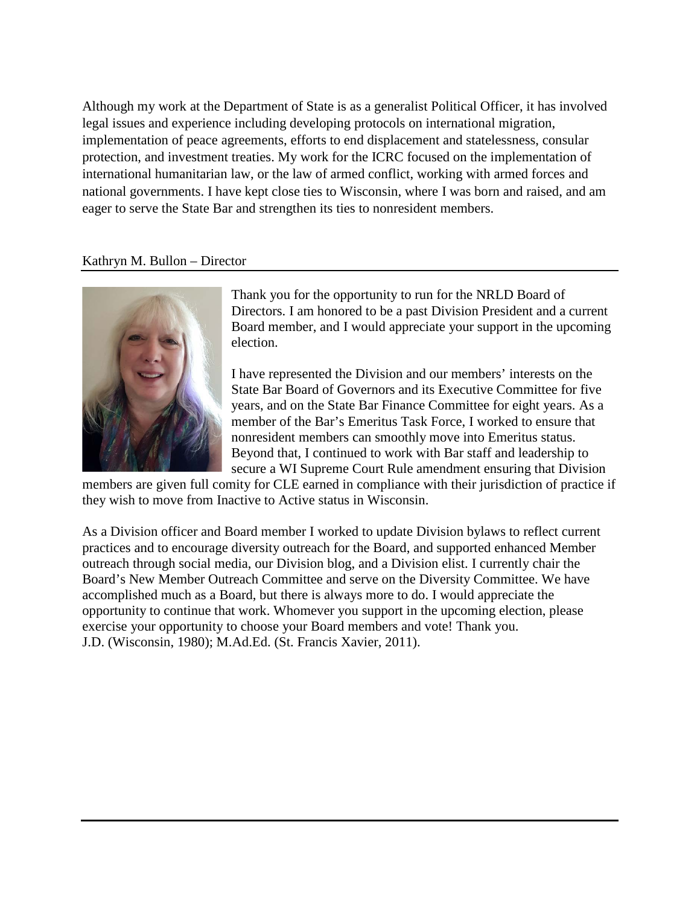Although my work at the Department of State is as a generalist Political Officer, it has involved legal issues and experience including developing protocols on international migration, implementation of peace agreements, efforts to end displacement and statelessness, consular protection, and investment treaties. My work for the ICRC focused on the implementation of international humanitarian law, or the law of armed conflict, working with armed forces and national governments. I have kept close ties to Wisconsin, where I was born and raised, and am eager to serve the State Bar and strengthen its ties to nonresident members.

### Kathryn M. Bullon – Director



Thank you for the opportunity to run for the NRLD Board of Directors. I am honored to be a past Division President and a current Board member, and I would appreciate your support in the upcoming election.

I have represented the Division and our members' interests on the State Bar Board of Governors and its Executive Committee for five years, and on the State Bar Finance Committee for eight years. As a member of the Bar's Emeritus Task Force, I worked to ensure that nonresident members can smoothly move into Emeritus status. Beyond that, I continued to work with Bar staff and leadership to secure a WI Supreme Court Rule amendment ensuring that Division

members are given full comity for CLE earned in compliance with their jurisdiction of practice if they wish to move from Inactive to Active status in Wisconsin.

As a Division officer and Board member I worked to update Division bylaws to reflect current practices and to encourage diversity outreach for the Board, and supported enhanced Member outreach through social media, our Division blog, and a Division elist. I currently chair the Board's New Member Outreach Committee and serve on the Diversity Committee. We have accomplished much as a Board, but there is always more to do. I would appreciate the opportunity to continue that work. Whomever you support in the upcoming election, please exercise your opportunity to choose your Board members and vote! Thank you. J.D. (Wisconsin, 1980); M.Ad.Ed. (St. Francis Xavier, 2011).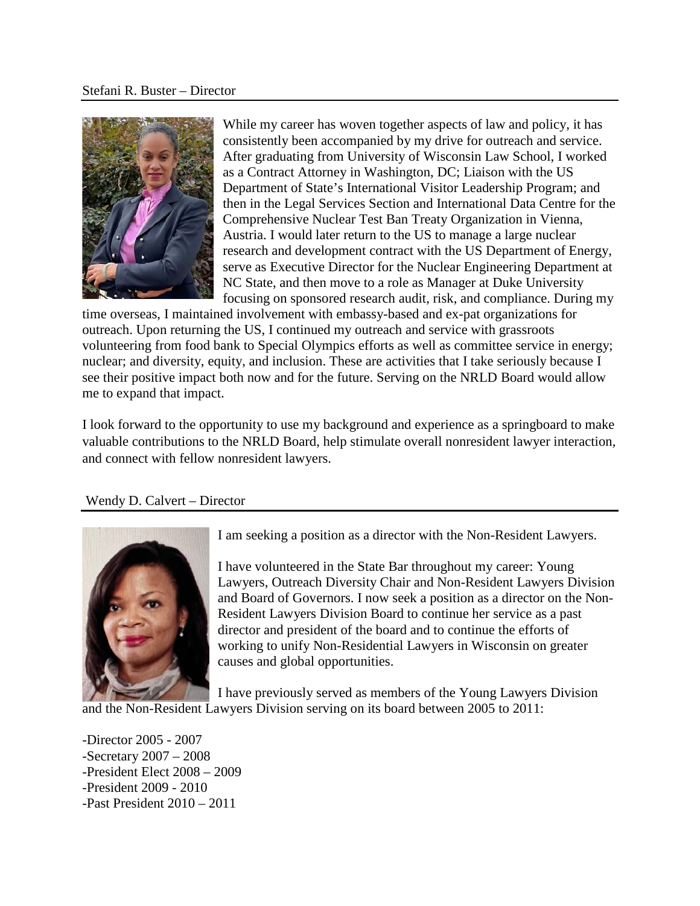

While my career has woven together aspects of law and policy, it has consistently been accompanied by my drive for outreach and service. After graduating from University of Wisconsin Law School, I worked as a Contract Attorney in Washington, DC; Liaison with the US Department of State's International Visitor Leadership Program; and then in the Legal Services Section and International Data Centre for the Comprehensive Nuclear Test Ban Treaty Organization in Vienna, Austria. I would later return to the US to manage a large nuclear research and development contract with the US Department of Energy, serve as Executive Director for the Nuclear Engineering Department at NC State, and then move to a role as Manager at Duke University focusing on sponsored research audit, risk, and compliance. During my

time overseas, I maintained involvement with embassy-based and ex-pat organizations for outreach. Upon returning the US, I continued my outreach and service with grassroots volunteering from food bank to Special Olympics efforts as well as committee service in energy; nuclear; and diversity, equity, and inclusion. These are activities that I take seriously because I see their positive impact both now and for the future. Serving on the NRLD Board would allow me to expand that impact.

I look forward to the opportunity to use my background and experience as a springboard to make valuable contributions to the NRLD Board, help stimulate overall nonresident lawyer interaction, and connect with fellow nonresident lawyers.

# Wendy D. Calvert – Director



I am seeking a position as a director with the Non-Resident Lawyers.

I have volunteered in the State Bar throughout my career: Young Lawyers, Outreach Diversity Chair and Non-Resident Lawyers Division and Board of Governors. I now seek a position as a director on the Non-Resident Lawyers Division Board to continue her service as a past director and president of the board and to continue the efforts of working to unify Non-Residential Lawyers in Wisconsin on greater causes and global opportunities.

I have previously served as members of the Young Lawyers Division and the Non-Resident Lawyers Division serving on its board between 2005 to 2011:

-Director 2005 - 2007 -Secretary 2007 – 2008 -President Elect 2008 – 2009 -President 2009 - 2010 -Past President 2010 – 2011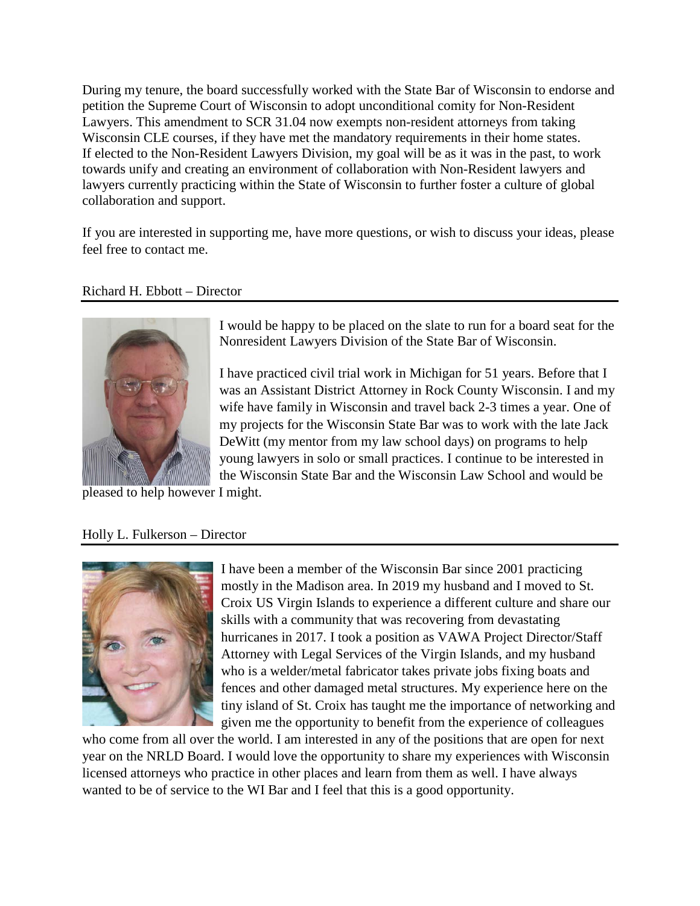During my tenure, the board successfully worked with the State Bar of Wisconsin to endorse and petition the Supreme Court of Wisconsin to adopt unconditional comity for Non-Resident Lawyers. This amendment to SCR 31.04 now exempts non-resident attorneys from taking Wisconsin CLE courses, if they have met the mandatory requirements in their home states. If elected to the Non-Resident Lawyers Division, my goal will be as it was in the past, to work towards unify and creating an environment of collaboration with Non-Resident lawyers and lawyers currently practicing within the State of Wisconsin to further foster a culture of global collaboration and support.

If you are interested in supporting me, have more questions, or wish to discuss your ideas, please feel free to contact me.

### Richard H. Ebbott – Director



I would be happy to be placed on the slate to run for a board seat for the Nonresident Lawyers Division of the State Bar of Wisconsin.

I have practiced civil trial work in Michigan for 51 years. Before that I was an Assistant District Attorney in Rock County Wisconsin. I and my wife have family in Wisconsin and travel back 2-3 times a year. One of my projects for the Wisconsin State Bar was to work with the late Jack DeWitt (my mentor from my law school days) on programs to help young lawyers in solo or small practices. I continue to be interested in the Wisconsin State Bar and the Wisconsin Law School and would be

pleased to help however I might.

### Holly L. Fulkerson – Director



I have been a member of the Wisconsin Bar since 2001 practicing mostly in the Madison area. In 2019 my husband and I moved to St. Croix US Virgin Islands to experience a different culture and share our skills with a community that was recovering from devastating hurricanes in 2017. I took a position as VAWA Project Director/Staff Attorney with Legal Services of the Virgin Islands, and my husband who is a welder/metal fabricator takes private jobs fixing boats and fences and other damaged metal structures. My experience here on the tiny island of St. Croix has taught me the importance of networking and given me the opportunity to benefit from the experience of colleagues

who come from all over the world. I am interested in any of the positions that are open for next year on the NRLD Board. I would love the opportunity to share my experiences with Wisconsin licensed attorneys who practice in other places and learn from them as well. I have always wanted to be of service to the WI Bar and I feel that this is a good opportunity.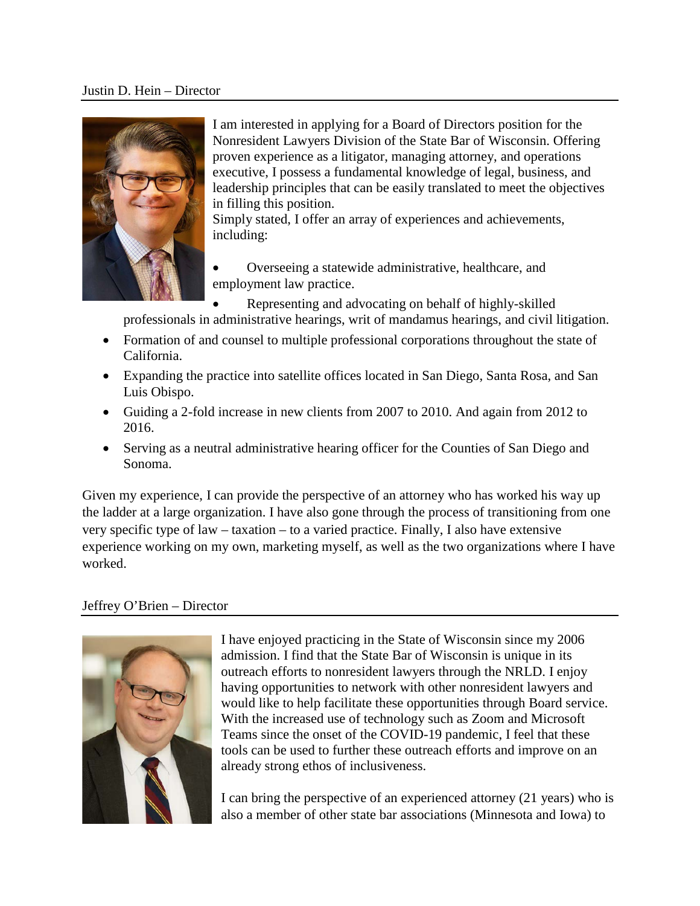#### Justin D. Hein – Director



I am interested in applying for a Board of Directors position for the Nonresident Lawyers Division of the State Bar of Wisconsin. Offering proven experience as a litigator, managing attorney, and operations executive, I possess a fundamental knowledge of legal, business, and leadership principles that can be easily translated to meet the objectives in filling this position.

Simply stated, I offer an array of experiences and achievements, including:

• Overseeing a statewide administrative, healthcare, and employment law practice.

• Representing and advocating on behalf of highly-skilled professionals in administrative hearings, writ of mandamus hearings, and civil litigation.

- Formation of and counsel to multiple professional corporations throughout the state of California.
- Expanding the practice into satellite offices located in San Diego, Santa Rosa, and San Luis Obispo.
- Guiding a 2-fold increase in new clients from 2007 to 2010. And again from 2012 to 2016.
- Serving as a neutral administrative hearing officer for the Counties of San Diego and Sonoma.

Given my experience, I can provide the perspective of an attorney who has worked his way up the ladder at a large organization. I have also gone through the process of transitioning from one very specific type of law – taxation – to a varied practice. Finally, I also have extensive experience working on my own, marketing myself, as well as the two organizations where I have worked.

# Jeffrey O'Brien – Director



I have enjoyed practicing in the State of Wisconsin since my 2006 admission. I find that the State Bar of Wisconsin is unique in its outreach efforts to nonresident lawyers through the NRLD. I enjoy having opportunities to network with other nonresident lawyers and would like to help facilitate these opportunities through Board service. With the increased use of technology such as Zoom and Microsoft Teams since the onset of the COVID-19 pandemic, I feel that these tools can be used to further these outreach efforts and improve on an already strong ethos of inclusiveness.

I can bring the perspective of an experienced attorney (21 years) who is also a member of other state bar associations (Minnesota and Iowa) to